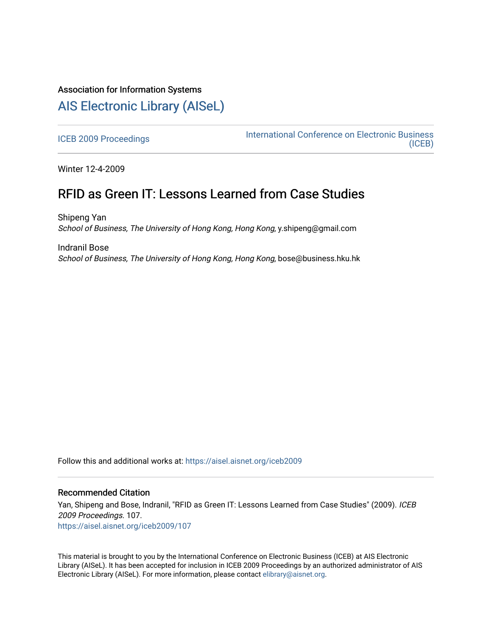## Association for Information Systems

# [AIS Electronic Library \(AISeL\)](https://aisel.aisnet.org/)

[ICEB 2009 Proceedings](https://aisel.aisnet.org/iceb2009) **International Conference on Electronic Business** [\(ICEB\)](https://aisel.aisnet.org/iceb) 

Winter 12-4-2009

# RFID as Green IT: Lessons Learned from Case Studies

Shipeng Yan School of Business, The University of Hong Kong, Hong Kong, y.shipeng@gmail.com

Indranil Bose School of Business, The University of Hong Kong, Hong Kong, bose@business.hku.hk

Follow this and additional works at: [https://aisel.aisnet.org/iceb2009](https://aisel.aisnet.org/iceb2009?utm_source=aisel.aisnet.org%2Ficeb2009%2F107&utm_medium=PDF&utm_campaign=PDFCoverPages)

### Recommended Citation

Yan, Shipeng and Bose, Indranil, "RFID as Green IT: Lessons Learned from Case Studies" (2009). ICEB 2009 Proceedings. 107. [https://aisel.aisnet.org/iceb2009/107](https://aisel.aisnet.org/iceb2009/107?utm_source=aisel.aisnet.org%2Ficeb2009%2F107&utm_medium=PDF&utm_campaign=PDFCoverPages)

This material is brought to you by the International Conference on Electronic Business (ICEB) at AIS Electronic Library (AISeL). It has been accepted for inclusion in ICEB 2009 Proceedings by an authorized administrator of AIS Electronic Library (AISeL). For more information, please contact [elibrary@aisnet.org.](mailto:elibrary@aisnet.org%3E)